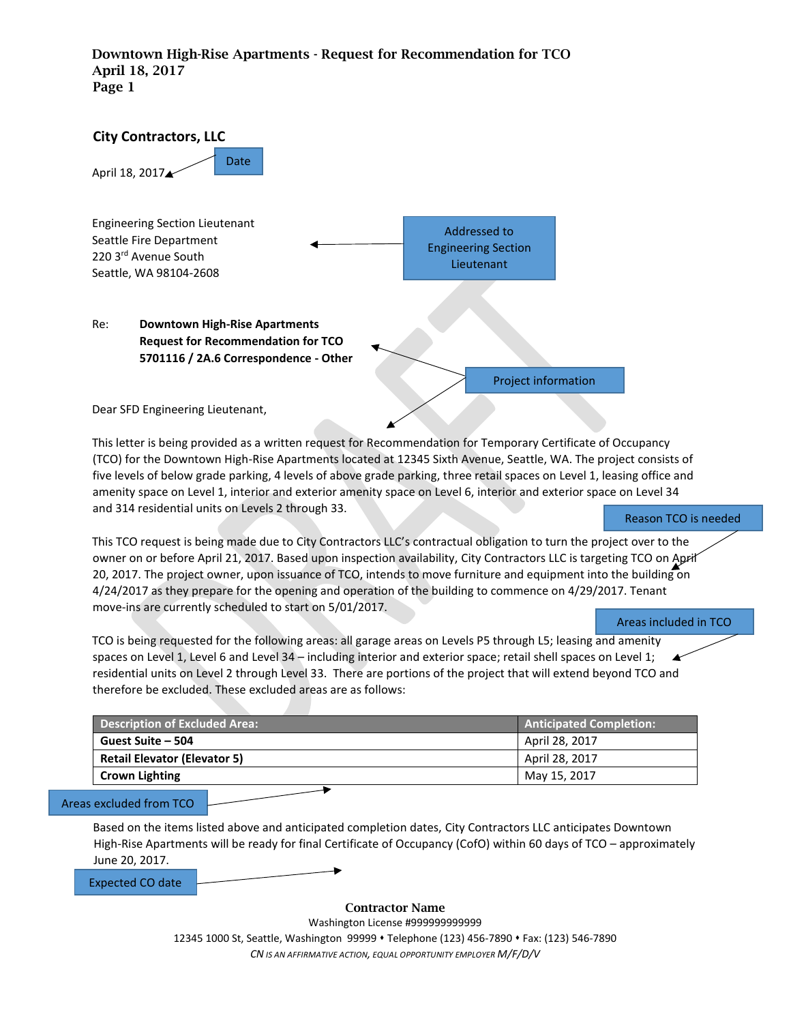### Downtown High-Rise Apartments - Request for Recommendation for TCO April 18, 2017 Page 1

| <b>City Contractors, LLC</b>                                                                                                      |                                                          |
|-----------------------------------------------------------------------------------------------------------------------------------|----------------------------------------------------------|
| <b>Date</b><br>April 18, 2017▲                                                                                                    |                                                          |
| <b>Engineering Section Lieutenant</b><br>Seattle Fire Department<br>220 3rd Avenue South<br>Seattle, WA 98104-2608                | Addressed to<br><b>Engineering Section</b><br>Lieutenant |
| Re:<br><b>Downtown High-Rise Apartments</b><br><b>Request for Recommendation for TCO</b><br>5701116 / 2A.6 Correspondence - Other |                                                          |
|                                                                                                                                   | <b>Project information</b>                               |
| Dear SFD Engineering Lieutenant,                                                                                                  |                                                          |

This letter is being provided as a written request for Recommendation for Temporary Certificate of Occupancy (TCO) for the Downtown High-Rise Apartments located at 12345 Sixth Avenue, Seattle, WA. The project consists of five levels of below grade parking, 4 levels of above grade parking, three retail spaces on Level 1, leasing office and amenity space on Level 1, interior and exterior amenity space on Level 6, interior and exterior space on Level 34 and 314 residential units on Levels 2 through 33.

 $\mathbf{k}$ 

Reason TCO is needed

This TCO request is being made due to City Contractors LLC's contractual obligation to turn the project over to the owner on or before April 21, 2017. Based upon inspection availability, City Contractors LLC is targeting TCO on April 20, 2017. The project owner, upon issuance of TCO, intends to move furniture and equipment into the building on 4/24/2017 as they prepare for the opening and operation of the building to commence on 4/29/2017. Tenant move-ins are currently scheduled to start on 5/01/2017.

Areas included in TCO

TCO is being requested for the following areas: all garage areas on Levels P5 through L5; leasing and amenity spaces on Level 1, Level 6 and Level 34 – including interior and exterior space; retail shell spaces on Level 1; residential units on Level 2 through Level 33. There are portions of the project that will extend beyond TCO and therefore be excluded. These excluded areas are as follows:

| <b>Description of Excluded Area:</b> | <b>Anticipated Completion:</b> |
|--------------------------------------|--------------------------------|
| Guest Suite – 504                    | April 28, 2017                 |
| <b>Retail Elevator (Elevator 5)</b>  | April 28, 2017                 |
| <b>Crown Lighting</b>                | May 15, 2017                   |

Areas excluded from TCO

Based on the items listed above and anticipated completion dates, City Contractors LLC anticipates Downtown High-Rise Apartments will be ready for final Certificate of Occupancy (CofO) within 60 days of TCO – approximately June 20, 2017.

Expected CO date

#### Contractor Name

Washington License #999999999999 12345 1000 St, Seattle, Washington 99999 Telephone (123) 456-7890 Fax: (123) 546-7890 *CN IS AN AFFIRMATIVE ACTION, EQUAL OPPORTUNITY EMPLOYER M/F/D/V*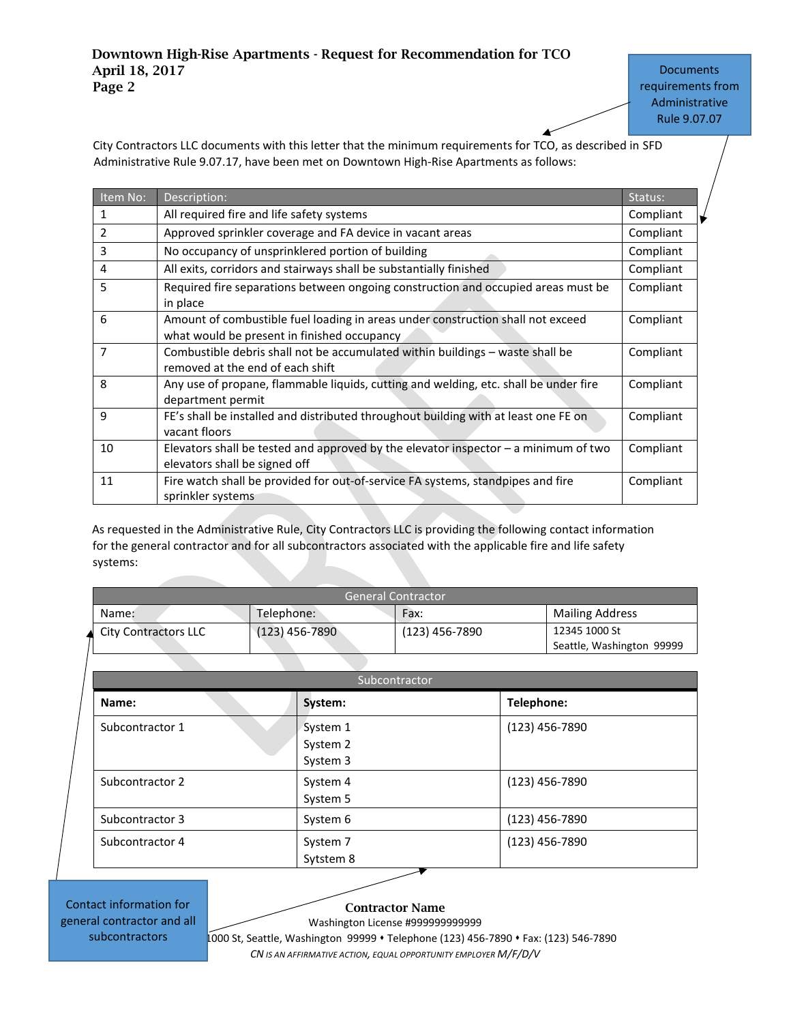# Downtown High-Rise Apartments - Request for Recommendation for TCO April 18, 2017 Page 2

*(continued)* Rule 9.07.07 **Documents** requirements from Administrative

▲

City Contractors LLC documents with this letter that the minimum requirements for TCO, as described in SFD Administrative Rule 9.07.17, have been met on Downtown High-Rise Apartments as follows:

| Item No: | Description:                                                                                                                   | Status:   |
|----------|--------------------------------------------------------------------------------------------------------------------------------|-----------|
| 1        | All required fire and life safety systems                                                                                      | Compliant |
| 2        | Approved sprinkler coverage and FA device in vacant areas                                                                      | Compliant |
| 3        | No occupancy of unsprinklered portion of building                                                                              | Compliant |
| 4        | All exits, corridors and stairways shall be substantially finished                                                             | Compliant |
| 5        | Required fire separations between ongoing construction and occupied areas must be<br>in place                                  | Compliant |
| 6        | Amount of combustible fuel loading in areas under construction shall not exceed<br>what would be present in finished occupancy | Compliant |
| 7        | Combustible debris shall not be accumulated within buildings – waste shall be<br>removed at the end of each shift              | Compliant |
| 8        | Any use of propane, flammable liquids, cutting and welding, etc. shall be under fire<br>department permit                      |           |
| 9        | FE's shall be installed and distributed throughout building with at least one FE on<br>vacant floors                           | Compliant |
| 10       | Elevators shall be tested and approved by the elevator inspector $-$ a minimum of two<br>elevators shall be signed off         | Compliant |
| 11       | Fire watch shall be provided for out-of-service FA systems, standpipes and fire<br>sprinkler systems                           | Compliant |

As requested in the Administrative Rule, City Contractors LLC is providing the following contact information for the general contractor and for all subcontractors associated with the applicable fire and life safety systems:

| <b>General Contractor</b>  |                  |                  |            |                           |  |
|----------------------------|------------------|------------------|------------|---------------------------|--|
| Name:                      | Telephone:       | Fax:             |            | <b>Mailing Address</b>    |  |
| City Contractors LLC       | $(123)$ 456-7890 | $(123)$ 456-7890 |            | 12345 1000 St             |  |
|                            |                  |                  |            | Seattle, Washington 99999 |  |
|                            |                  |                  |            |                           |  |
| Subcontractor <sup>'</sup> |                  |                  |            |                           |  |
| Name:                      | System:          |                  | Telephone: |                           |  |

| Name:           | System:   | Telephone:       |  |
|-----------------|-----------|------------------|--|
| Subcontractor 1 | System 1  | $(123)$ 456-7890 |  |
|                 | System 2  |                  |  |
|                 | System 3  |                  |  |
| Subcontractor 2 | System 4  | $(123)$ 456-7890 |  |
|                 | System 5  |                  |  |
| Subcontractor 3 | System 6  | $(123)$ 456-7890 |  |
| Subcontractor 4 | System 7  | $(123)$ 456-7890 |  |
|                 | Sytstem 8 |                  |  |

Contact information for general contractor and all subcontractors

Contractor Name

Washington License #999999999999 12345 1000 St, Seattle, Washington 99999 Telephone (123) 456-7890 Fax: (123) 546-7890 *CN IS AN AFFIRMATIVE ACTION, EQUAL OPPORTUNITY EMPLOYER M/F/D/V*